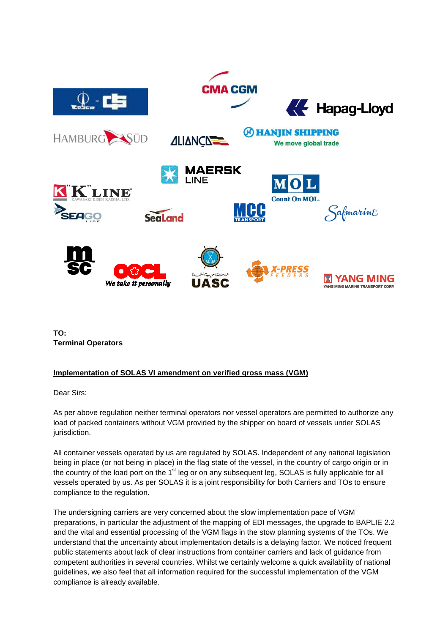

**TO: Terminal Operators** 

### **Implementation of SOLAS VI amendment on verified gross mass (VGM)**

Dear Sirs:

As per above regulation neither terminal operators nor vessel operators are permitted to authorize any load of packed containers without VGM provided by the shipper on board of vessels under SOLAS jurisdiction.

All container vessels operated by us are regulated by SOLAS. Independent of any national legislation being in place (or not being in place) in the flag state of the vessel, in the country of cargo origin or in the country of the load port on the  $1<sup>st</sup>$  leg or on any subsequent leg, SOLAS is fully applicable for all vessels operated by us. As per SOLAS it is a joint responsibility for both Carriers and TOs to ensure compliance to the regulation.

The undersigning carriers are very concerned about the slow implementation pace of VGM preparations, in particular the adjustment of the mapping of EDI messages, the upgrade to BAPLIE 2.2 and the vital and essential processing of the VGM flags in the stow planning systems of the TOs. We understand that the uncertainty about implementation details is a delaying factor. We noticed frequent public statements about lack of clear instructions from container carriers and lack of guidance from competent authorities in several countries. Whilst we certainly welcome a quick availability of national guidelines, we also feel that all information required for the successful implementation of the VGM compliance is already available.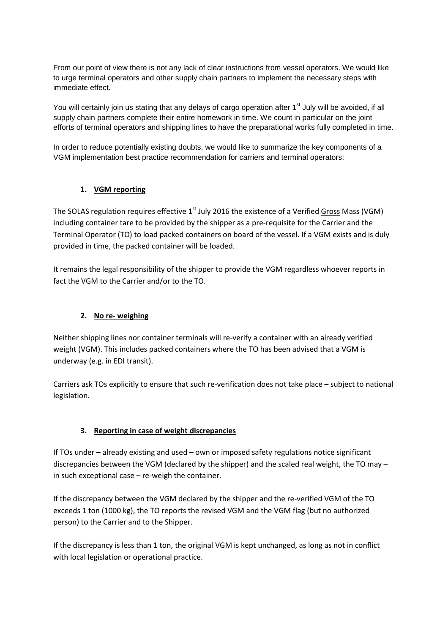From our point of view there is not any lack of clear instructions from vessel operators. We would like to urge terminal operators and other supply chain partners to implement the necessary steps with immediate effect.

You will certainly join us stating that any delays of cargo operation after 1<sup>st</sup> July will be avoided, if all supply chain partners complete their entire homework in time. We count in particular on the joint efforts of terminal operators and shipping lines to have the preparational works fully completed in time.

In order to reduce potentially existing doubts, we would like to summarize the key components of a VGM implementation best practice recommendation for carriers and terminal operators:

### **1. VGM reporting**

The SOLAS regulation requires effective 1<sup>st</sup> July 2016 the existence of a Verified Gross Mass (VGM) including container tare to be provided by the shipper as a pre-requisite for the Carrier and the Terminal Operator (TO) to load packed containers on board of the vessel. If a VGM exists and is duly provided in time, the packed container will be loaded.

It remains the legal responsibility of the shipper to provide the VGM regardless whoever reports in fact the VGM to the Carrier and/or to the TO.

### **2. No re- weighing**

Neither shipping lines nor container terminals will re-verify a container with an already verified weight (VGM). This includes packed containers where the TO has been advised that a VGM is underway (e.g. in EDI transit).

Carriers ask TOs explicitly to ensure that such re-verification does not take place – subject to national legislation.

### **3. Reporting in case of weight discrepancies**

If TOs under – already existing and used – own or imposed safety regulations notice significant discrepancies between the VGM (declared by the shipper) and the scaled real weight, the TO may – in such exceptional case – re-weigh the container.

If the discrepancy between the VGM declared by the shipper and the re-verified VGM of the TO exceeds 1 ton (1000 kg), the TO reports the revised VGM and the VGM flag (but no authorized person) to the Carrier and to the Shipper.

If the discrepancy is less than 1 ton, the original VGM is kept unchanged, as long as not in conflict with local legislation or operational practice.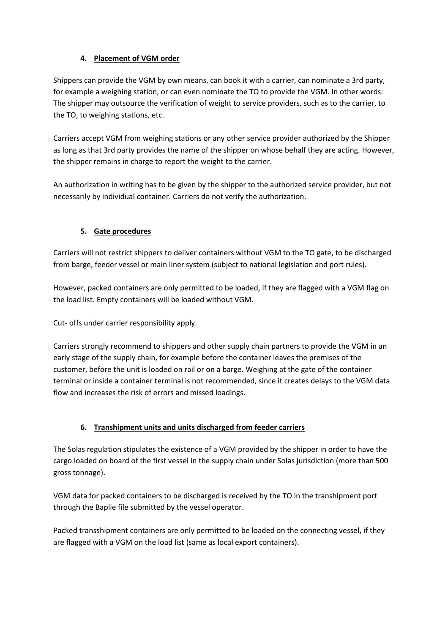## **4. Placement of VGM order**

Shippers can provide the VGM by own means, can book it with a carrier, can nominate a 3rd party, for example a weighing station, or can even nominate the TO to provide the VGM. In other words: The shipper may outsource the verification of weight to service providers, such as to the carrier, to the TO, to weighing stations, etc.

Carriers accept VGM from weighing stations or any other service provider authorized by the Shipper as long as that 3rd party provides the name of the shipper on whose behalf they are acting. However, the shipper remains in charge to report the weight to the carrier.

An authorization in writing has to be given by the shipper to the authorized service provider, but not necessarily by individual container. Carriers do not verify the authorization.

# **5. Gate procedures**

Carriers will not restrict shippers to deliver containers without VGM to the TO gate, to be discharged from barge, feeder vessel or main liner system (subject to national legislation and port rules).

However, packed containers are only permitted to be loaded, if they are flagged with a VGM flag on the load list. Empty containers will be loaded without VGM.

Cut- offs under carrier responsibility apply.

Carriers strongly recommend to shippers and other supply chain partners to provide the VGM in an early stage of the supply chain, for example before the container leaves the premises of the customer, before the unit is loaded on rail or on a barge. Weighing at the gate of the container terminal or inside a container terminal is not recommended, since it creates delays to the VGM data flow and increases the risk of errors and missed loadings.

# **6. Transhipment units and units discharged from feeder carriers**

The Solas regulation stipulates the existence of a VGM provided by the shipper in order to have the cargo loaded on board of the first vessel in the supply chain under Solas jurisdiction (more than 500 gross tonnage).

VGM data for packed containers to be discharged is received by the TO in the transhipment port through the Baplie file submitted by the vessel operator.

Packed transshipment containers are only permitted to be loaded on the connecting vessel, if they are flagged with a VGM on the load list (same as local export containers).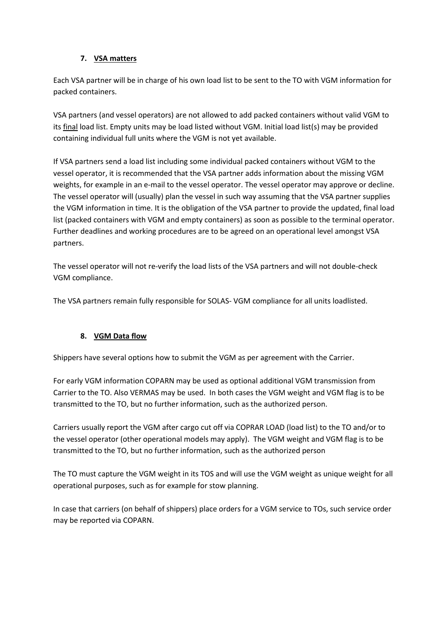### **7. VSA matters**

Each VSA partner will be in charge of his own load list to be sent to the TO with VGM information for packed containers.

VSA partners (and vessel operators) are not allowed to add packed containers without valid VGM to its final load list. Empty units may be load listed without VGM. Initial load list(s) may be provided containing individual full units where the VGM is not yet available.

If VSA partners send a load list including some individual packed containers without VGM to the vessel operator, it is recommended that the VSA partner adds information about the missing VGM weights, for example in an e-mail to the vessel operator. The vessel operator may approve or decline. The vessel operator will (usually) plan the vessel in such way assuming that the VSA partner supplies the VGM information in time. It is the obligation of the VSA partner to provide the updated, final load list (packed containers with VGM and empty containers) as soon as possible to the terminal operator. Further deadlines and working procedures are to be agreed on an operational level amongst VSA partners.

The vessel operator will not re-verify the load lists of the VSA partners and will not double-check VGM compliance.

The VSA partners remain fully responsible for SOLAS- VGM compliance for all units loadlisted.

## **8. VGM Data flow**

Shippers have several options how to submit the VGM as per agreement with the Carrier.

For early VGM information COPARN may be used as optional additional VGM transmission from Carrier to the TO. Also VERMAS may be used. In both cases the VGM weight and VGM flag is to be transmitted to the TO, but no further information, such as the authorized person.

Carriers usually report the VGM after cargo cut off via COPRAR LOAD (load list) to the TO and/or to the vessel operator (other operational models may apply). The VGM weight and VGM flag is to be transmitted to the TO, but no further information, such as the authorized person

The TO must capture the VGM weight in its TOS and will use the VGM weight as unique weight for all operational purposes, such as for example for stow planning.

In case that carriers (on behalf of shippers) place orders for a VGM service to TOs, such service order may be reported via COPARN.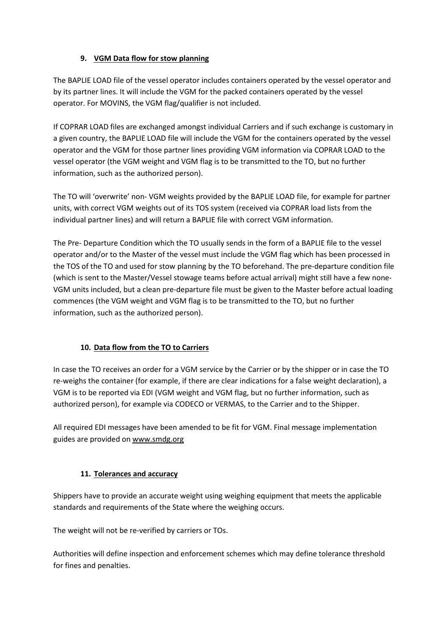## **9. VGM Data flow for stow planning**

The BAPLIE LOAD file of the vessel operator includes containers operated by the vessel operator and by its partner lines. It will include the VGM for the packed containers operated by the vessel operator. For MOVINS, the VGM flag/qualifier is not included.

If COPRAR LOAD files are exchanged amongst individual Carriers and if such exchange is customary in a given country, the BAPLIE LOAD file will include the VGM for the containers operated by the vessel operator and the VGM for those partner lines providing VGM information via COPRAR LOAD to the vessel operator (the VGM weight and VGM flag is to be transmitted to the TO, but no further information, such as the authorized person).

The TO will 'overwrite' non- VGM weights provided by the BAPLIE LOAD file, for example for partner units, with correct VGM weights out of its TOS system (received via COPRAR load lists from the individual partner lines) and will return a BAPLIE file with correct VGM information.

The Pre- Departure Condition which the TO usually sends in the form of a BAPLIE file to the vessel operator and/or to the Master of the vessel must include the VGM flag which has been processed in the TOS of the TO and used for stow planning by the TO beforehand. The pre-departure condition file (which is sent to the Master/Vessel stowage teams before actual arrival) might still have a few none-VGM units included, but a clean pre-departure file must be given to the Master before actual loading commences (the VGM weight and VGM flag is to be transmitted to the TO, but no further information, such as the authorized person).

## **10. Data flow from the TO to Carriers**

In case the TO receives an order for a VGM service by the Carrier or by the shipper or in case the TO re-weighs the container (for example, if there are clear indications for a false weight declaration), a VGM is to be reported via EDI (VGM weight and VGM flag, but no further information, such as authorized person), for example via CODECO or VERMAS, to the Carrier and to the Shipper.

All required EDI messages have been amended to be fit for VGM. Final message implementation guides are provided on www.smdg.org

## **11. Tolerances and accuracy**

Shippers have to provide an accurate weight using weighing equipment that meets the applicable standards and requirements of the State where the weighing occurs.

The weight will not be re-verified by carriers or TOs.

Authorities will define inspection and enforcement schemes which may define tolerance threshold for fines and penalties.